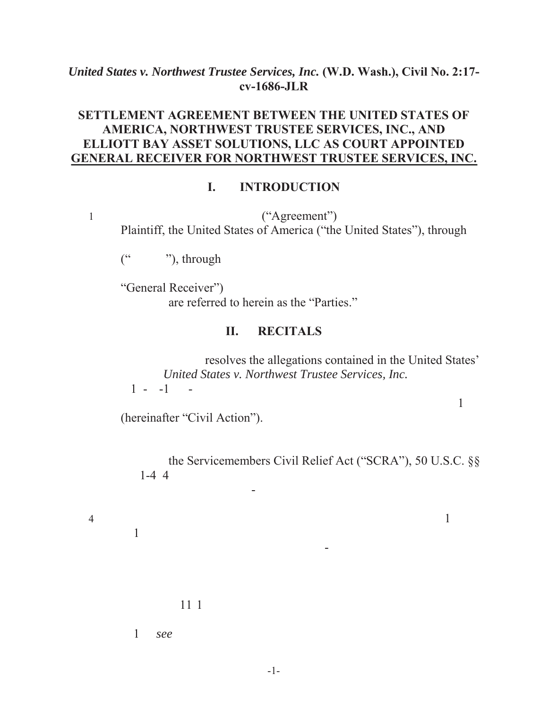#### *United States v. Northwest Trustee Services, Inc.* **(W.D. Wash.), Civil No. 2:17 cv-1686-JLR**

#### **SETTLEMENT AGREEMENT BETWEEN THE UNITED STATES OF AMERICA, NORTHWEST TRUSTEE SERVICES, INC., AND ELLIOTT BAY ASSET SOLUTIONS, LLC AS COURT APPOINTED GENERAL RECEIVER FOR NORTHWEST TRUSTEE SERVICES, INC.**

#### **I. INTRODUCTION**

 $1$  ("Agreement") Plaintiff, the United States of America ("the United States"), through

 $($ "", through

"General Receiver"). are referred to herein as the "Parties."

#### **II. RECITALS**

property owned by SCRA-protected servicemembers.

resolves the allegations contained in the United States' United States v. Northwest Trustee Services, Inc.  $1 - 1 - 1$ 

Western District of  $\mathbb{R}^n$  . District of  $\mathbb{R}^n$ 

orders, of real property owned by SCRA-protected servicemembers.

(hereinafter "Civil Action").

the Servicemembers Civil Relief Act ("SCRA"), 50 U.S.C. §§  $1-4$  4

4. The United States alleges in the Civil Action that, since  $1$ 

 $1$ 

 $111$ 

 $1 \qquad \text{see}$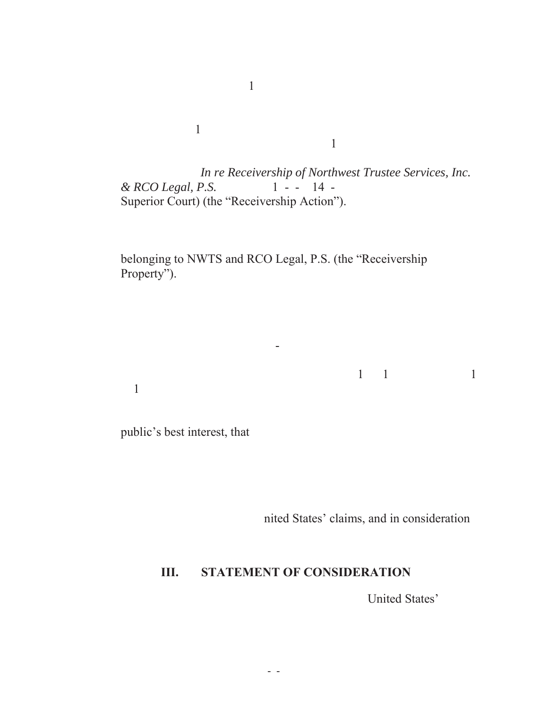In re Receivership of Northwest Trustee Services, Inc. *& RCO Legal, P.S.*, 1 - - 14 -Superior Court) (the "Receivership Action").

 $\frac{1}{355555}$  SE 36th St., Bellevue, Washington, in the Western St., Bellevue, Washington, in the Western St., Bellevue, in the Western St., Bellevue, Washington, in the Western St., Bellevue, in the Western St., Bellevu  $1$ 

belonging to NWTS and RCO Legal, P.S. (the "Receivership Property").

6. This Agreement covers all non-judicial foreclosures initiated r

companies, or successor entities, from January 1, 2010 through July 31,

2017.

public's best interest, that

defined by  $\mathbf{1}$ 

nited States' claims, and in consideration

### **III. STATEMENT OF CONSIDERATION**

United States'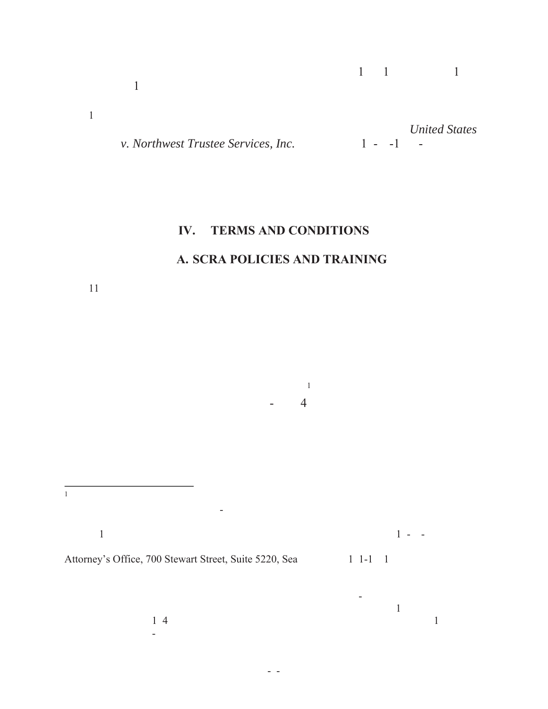| v. Northwest Trustee Services, Inc. | $1 - 1$ | <b>United States</b><br>$\sim$ |
|-------------------------------------|---------|--------------------------------|

# **IV. TERMS AND CONDITIONS**

### **A. SCRA POLICIES AND TRAINING**

 $p = 4$ 

 $11$ 

1 sent by private business carrier (non-USPS) delivery service addressed as follows: Chief,  $1$ ustice, N.W., Suite 7002, Washington, N.W., Suite 7002, Attn: DJ 216-82-7. A copy of  $1 + 3$ Attorney's Office, 700 Stewart Street, Suite 5220, Sea 1 1-1 1

 $p_1$ 

 $\begin{array}{c} \n 1 & 4 \\
\end{array}$ Avenue NE, Suite B-2, Redmond, WA 98052.

should be sent to counsel for NWTS by private business carrier (non-USPS) delivery serviced addressed as follows: Jeffrey Bilanko,  $\mathbb{I}$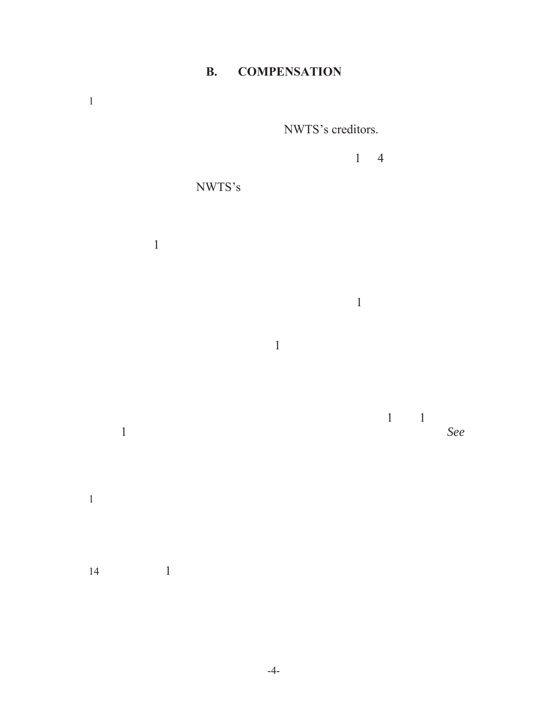## **B. COMPENSATION**



 $14$  and  $1$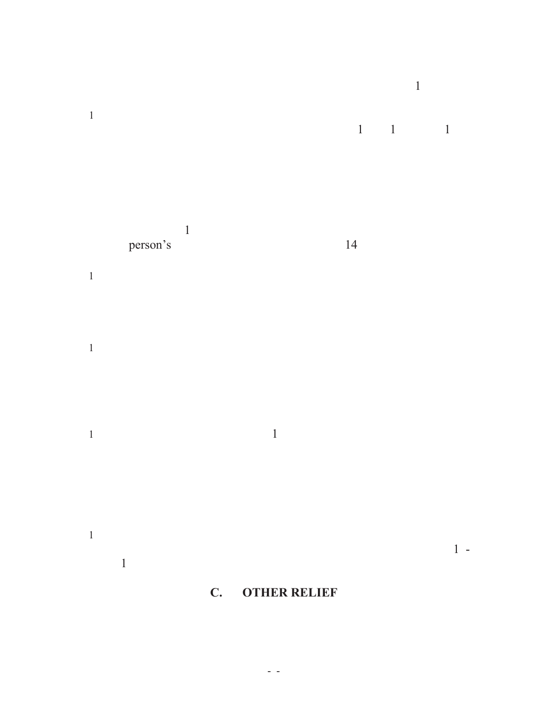













# **C. OTHER RELIEF**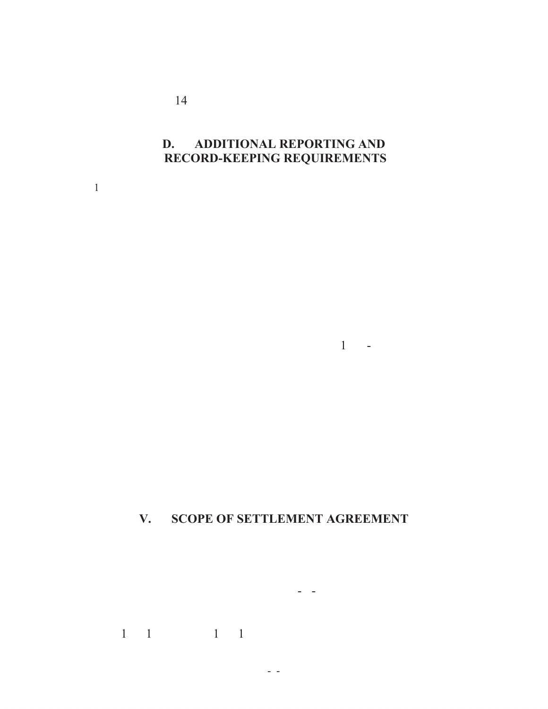$14$ 

### **D. ADDITIONAL REPORTING AND RECORD-KEEPING REQUIREMENTS**

 $1$ . With  $\mathcal{O}(\mathcal{A})$  days of this Agreement, NWTS, by and NWTS, by and NWTS, by and NWTS, by and NWTS, by and NWTS, by and NWTS, by and NWTS, by and NWTS, by and NWTS, by and NWTS, by and NWTS, by and NWTS, by and NWT

 $1 -$ 

### **V. SCOPE OF SETTLEMENT AGREEMENT**

representatives, assigns, successors-in-interest, and all persons and

 $1\quad 1\quad 1\quad 1$ 

-6-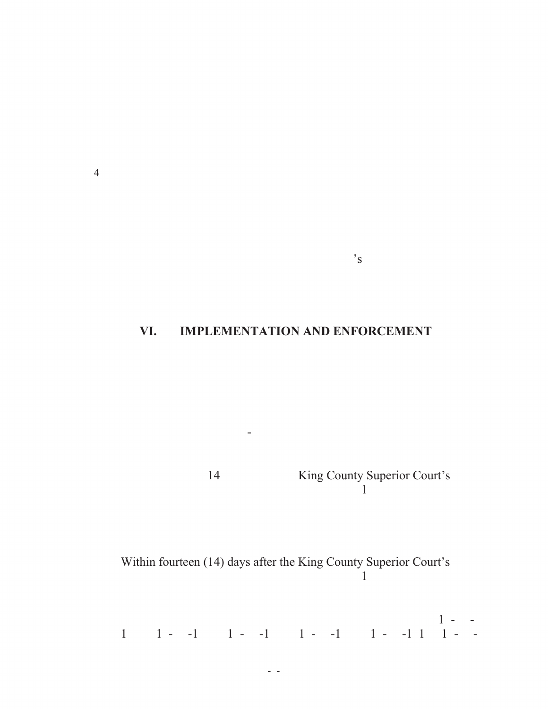$4\overline{a}$ 

### **VI. IMPLEMENTATION AND ENFORCEMENT**

the United States, all non-privileged records pertinent to this

 $\mathbf{S}$ 

14 King County Superior Court's approval of the disputation  $1$  of this Agreement plan in  $\mathbb{R}$ 

Within fourteen (14) days after the King County Superior Court's approval of the disputation  $1$  of this Agreement plan in  $\mathbb{R}$ 

limitation, those written in the following cases:  $1 - 1$  $1$ ,  $1$ ,  $-1$ ,  $1$ ,  $-1$ ,  $1$ ,  $-1$ ,  $1$ ,  $-1$ ,  $1$ ,  $1$ ,  $-1$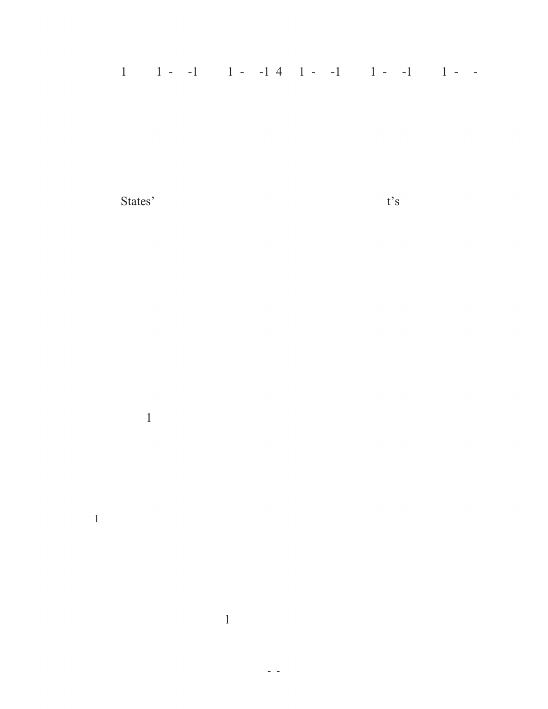# $1$ ,  $1$ ,  $-1$ ,  $1$ ,  $-1$ ,  $4$ ,  $1$ ,  $-1$ ,  $1$ ,  $-1$ ,  $1$ ,  $-1$

States' motion to restore the Civil Action to the Court's action to the Court's action to the Court's active docket.

 $1$ .60.170 and/or the Order Appointing General Receiver.

 $1$ . The Parties shall endeavor in good faith to resolve in good faith to resolve in good faith to resolve informally any  $\alpha$ 

 $-8$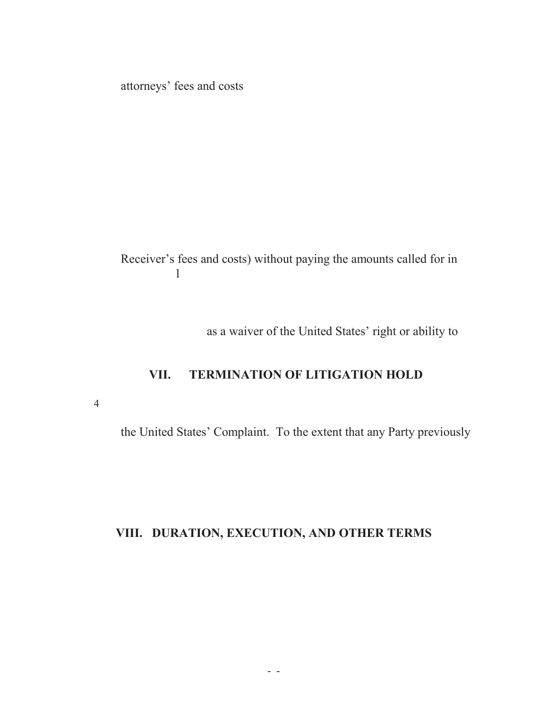attorneys' fees and costs

Receiver's fees and costs) without paying the amounts called for in  $\mathbf 1$ 

as a waiver of the United States' right or ability to

#### **VII. TERMINATION OF LITIGATION HOLD**

 $\overline{3}$ 

the United States' Complaint. To the extent that any Party previously

#### **VIII. DURATION, EXECUTION, AND OTHER TERMS**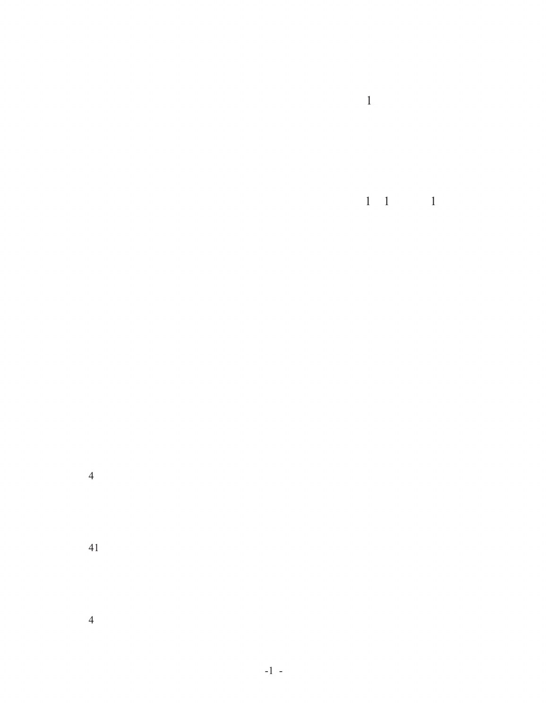$p$ all compensation provided for intervals  $p$ 

include to obtain the obligations under Paragraphs 12, and 21, and 21, and 21, and 21, and 21, and 21, and 21, and 21, and 21, and 21, and 21, and 21, and 21, and 21, and 21, and 21, and 21, and 21, and 21, and 21, and 21

 $4<sub>0</sub>$ 

 $41$ 

 $4\overline{2}$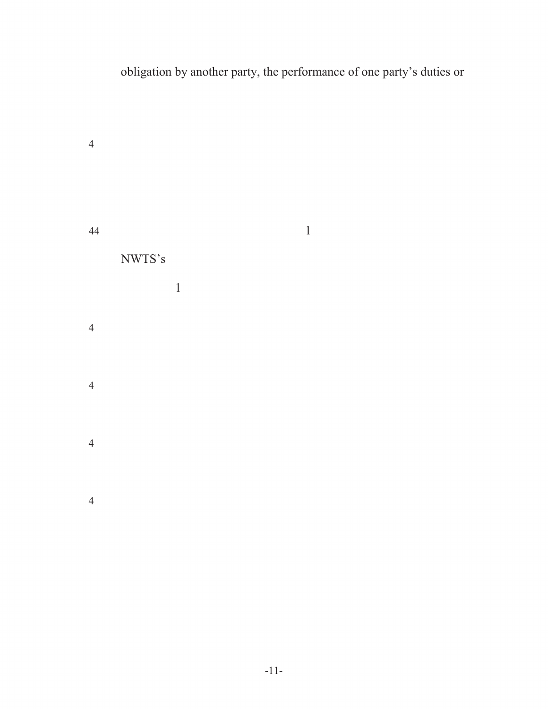# obligation by another party, the performance of one party's duties or

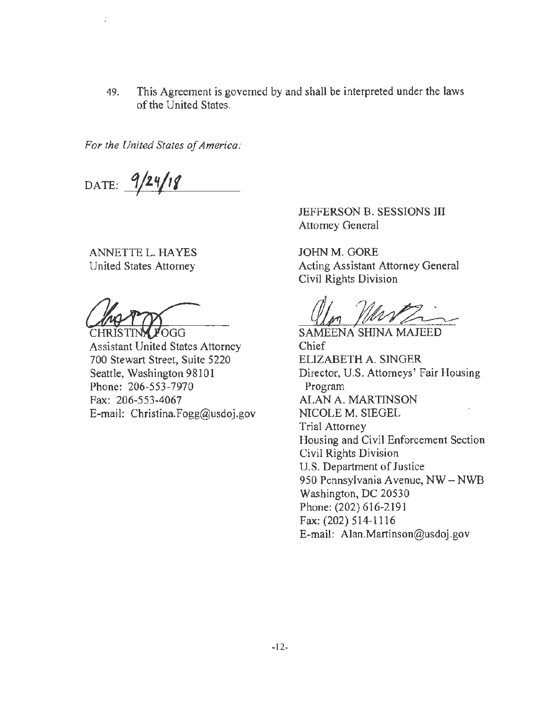49. This Agreement is governed by and shall be interpreted under the laws of the United States.

*For the United States of America:* 

DATE:  $9/24/18$ 

ANNETTE L. HA YES United States Attorney

ANNETTE L. HAYES<br>United States Attorney<br>Cive<br>CHRISTING POGG<br>Assistant United States Attorney<br>700 Stewart Street Suite 5220

700 Stewart Street, Suite 5220 Seattle, Washington 98101 Phone: 206-553-7970 Fax: 206-553-4067 E-mail: Christina.Fogg@usdoj.gov

JEFFERSON B. SESSIONS III Attorney General

JOHN M. GORE Acting Assistant Attorney General Civil Rights Division

<u>alm Murzin</u>

Chief ELIZABETH A. SINGER Director, U.S. Attorneys' Fair Housing Program ALAN A. MARTINSON NICOLE M. SIEGEL Trial Attorney Housing and Civil Enforcement Section Civil Rights Division U.S. Department of Justice 950 Pennsylvania A venue, NW - **NWB**  Washington, DC 20530 Phone: (202) 616-2191 Fax: (202) 514-1116 E-mail: Alan.Martinson@usdoj.gov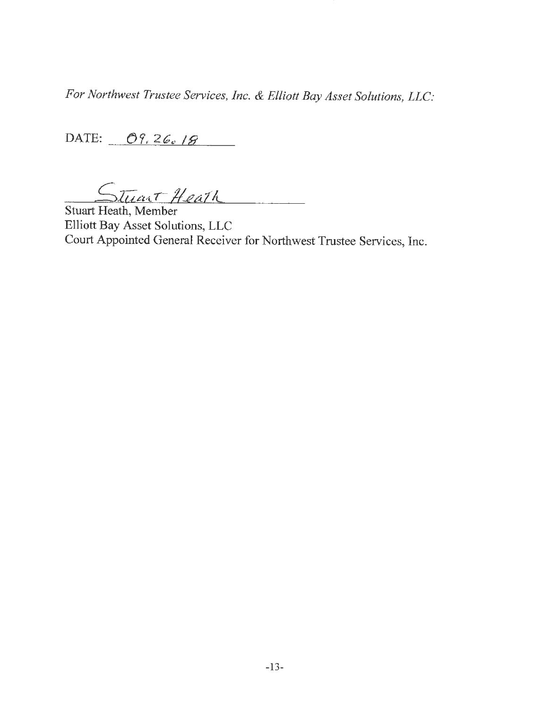*For Northwest Trustee Services, Inc. & Elliott Bay Asset Solutions, LLC:* 

DATE:  $\frac{\partial \mathcal{G}_i}{\partial \mathcal{G}_i}$  / $\mathcal{G}$ 

Stuart Heath

Elliott Bay Asset Solutions, LLC Court Appointed General Receiver for Northwest Trustee Services, Inc.